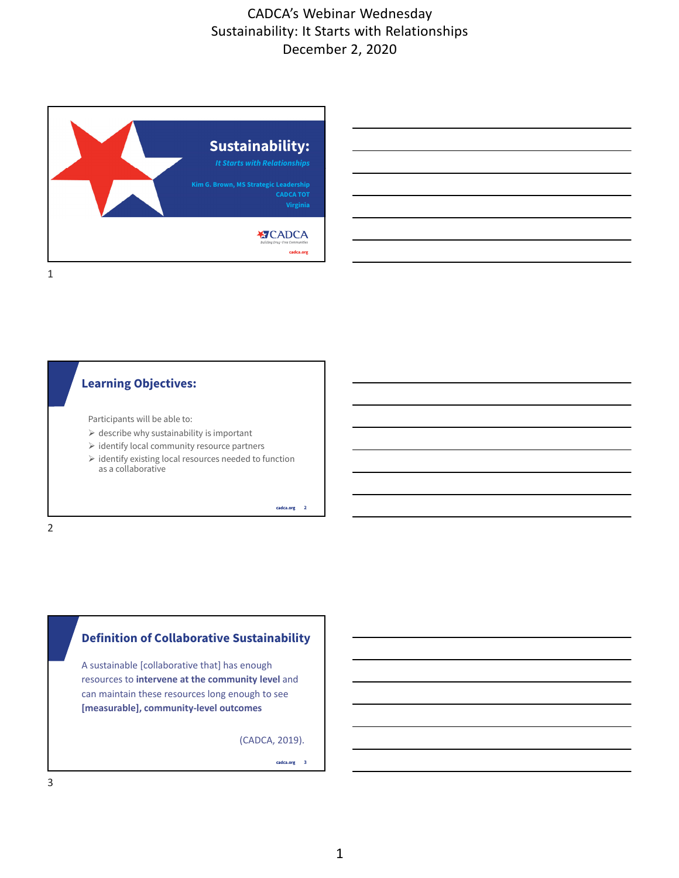



Participants will be able to:

- $\triangleright$  describe why sustainability is important
- $\triangleright$  identify local community resource partners
- $\triangleright$  identify existing local resources needed to function as a collaborative

**2**

# **P** Definition of Collaborative Sustainability

**Master title style** A sustainable [collaborative that] has enough resources to **intervene at the community level** and can maintain these resources long enough to see **[measurable], community-level outcomes** 

(CADCA, 2019).

cadca.org 3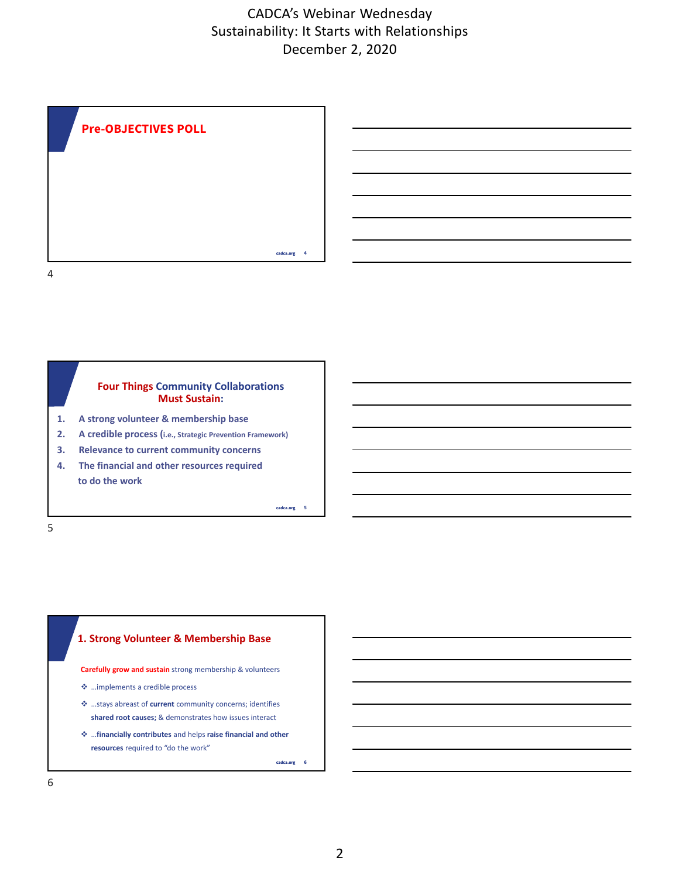



- **1. A strong volunteer & membership base**
- **2. A credible process (i.e., Strategic Prevention Framework)**
- **3. Relevance to current community concerns**
- **4. The financial and other resources required to do the work**

**5**



**Carefully grow and sustain** strong membership & volunteers

- …implements a credible process
- …stays abreast of **current** community concerns; identifies **shared root causes;** & demonstrates how issues interact
- …**financially contributes** and helps **raise financial and other resources** required to "do the work"

cadca.org 6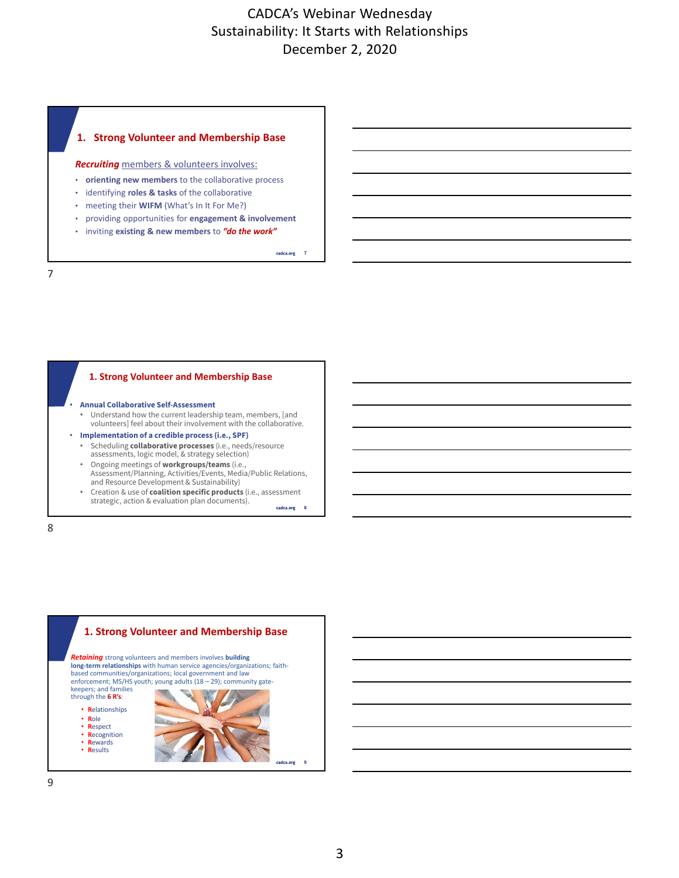#### **Click Strong V 1. Strong Volunteer and Membership Base**

*Recruiting* members & volunteers involves:

- **orienting new members** to the collaborative process
- identifying **roles & tasks** of the collaborative
- meeting their **WIFM** (What's In It For Me?)
- providing opportunities for **engagement & involvement**
- inviting **existing & new members** to *"do the work"*

cadca.org 7

#### **Click to edit 1. Strong Volunteer and Membership Base**

- **Master title style Annual Collaborative Self-Assessment** • Understand how the current leadership team, members, [and volunteers] feel about their involvement with the collaborative.
- **Implementation of a credible process (i.e., SPF)**
	- Scheduling **collaborative processes** (i.e., needs/resource assessments, logic model, & strategy selection)
	- Ongoing meetings of **workgroups/teams** (i.e., Assessment/Planning, Activities/Events, Media/Public Relations, and Resource Development & Sustainability)
	- cadca.org 8 • Creation & use of **coalition specific products** (i.e., assessment strategic, action & evaluation plan documents).

8

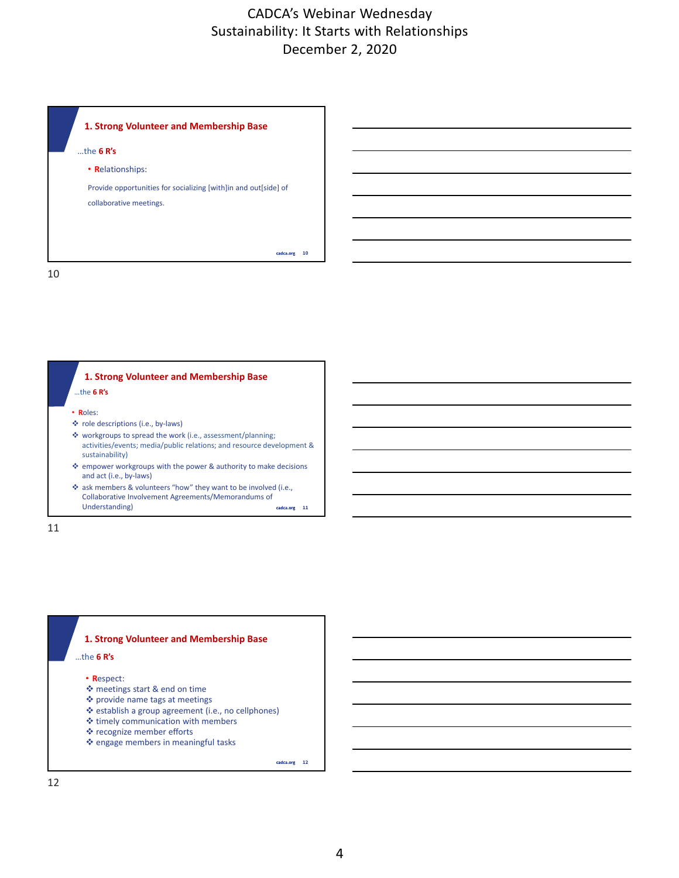









• **R**espect:

**Master title style** …the **6 R's**

- meetings start & end on time
- provide name tags at meetings
- establish a group agreement (i.e., no cellphones)
- $\triangleq$  timely communication with members
- recognize member efforts
- ❖ engage members in meaningful tasks

cadca.org 12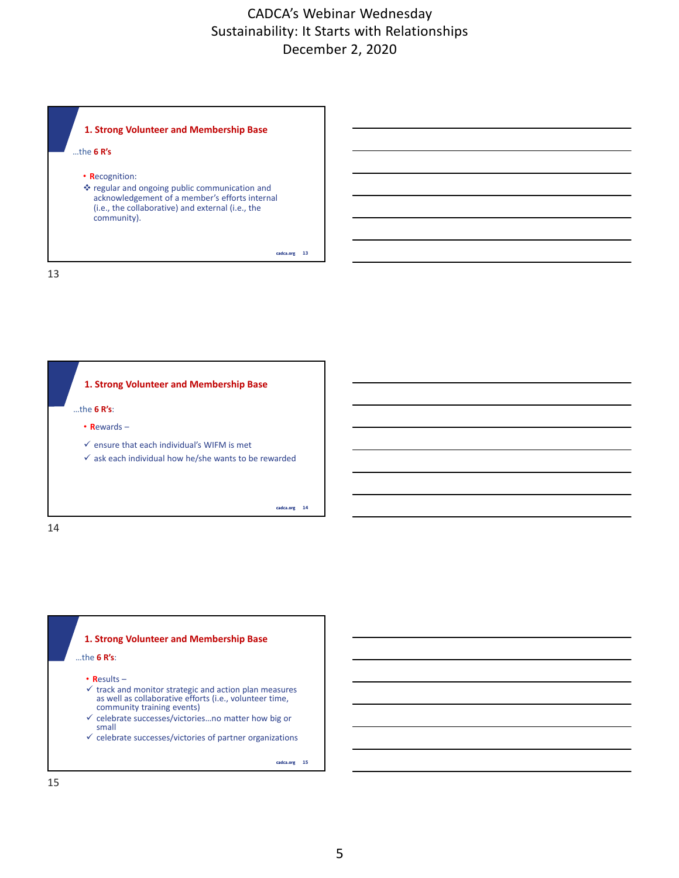





**Master title style** …the **6 R's**:

- **R**esults –
- $\checkmark$  track and monitor strategic and action plan measures as well as collaborative efforts (i.e., volunteer time, community training events)
- $\checkmark$  celebrate successes/victories...no matter how big or small
- $\checkmark$  celebrate successes/victories of partner organizations

cadca.org 15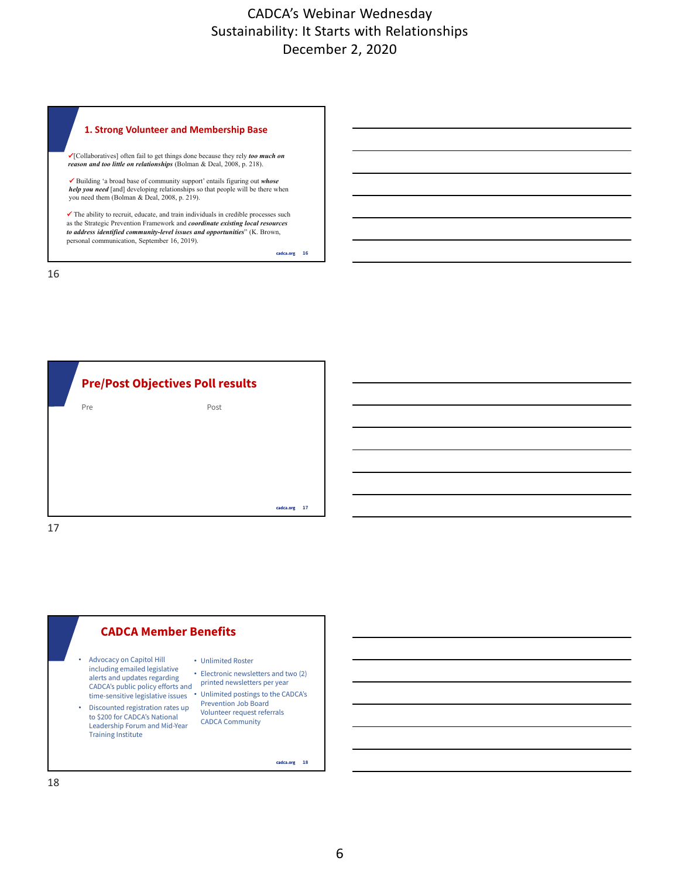#### **Click to edit 1. Strong Volunteer and Membership Base**

**Master title style** [Collaboratives] often fail to get things done because they rely *too much on reason and too little on relationships* (Bolman & Deal, 2008, p. 218).

 Building 'a broad base of community support' entails figuring out *whose help you need* [and] developing relationships so that people will be there when you need them (Bolman & Deal, 2008, p. 219).

 The ability to recruit, educate, and train individuals in credible processes such as the Strategic Prevention Framework and *coordinate existing local resources to address identified community-level issues and opportunities*" (K. Brown, personal communication, September 16, 2019).

cadca.org 16